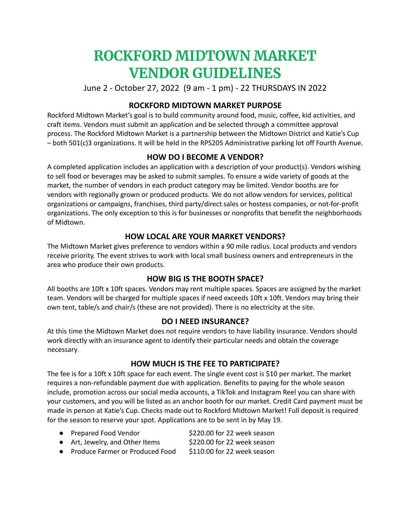# **ROCKFORD MIDTOWN MARKET VENDOR GUIDELINES**

June 2 - October 27, 2022 (9 am - 1 pm) - 22 THURSDAYS IN 2022

## **ROCKFORD MIDTOWN MARKET PURPOSE**

Rockford Midtown Market's goal is to build community around food, music, coffee, kid activities, and craft items. Vendors must submit an application and be selected through a committee approval process. The Rockford Midtown Market is a partnership between the Midtown District and Katie's Cup – both 501(c)3 organizations. It will be held in the RPS205 Administrative parking lot off Fourth Avenue.

# **HOW DO I BECOME A VENDOR?**

A completed application includes an application with a description of your product(s). Vendors wishing to sell food or beverages may be asked to submit samples. To ensure a wide variety of goods at the market, the number of vendors in each product category may be limited. Vendor booths are for vendors with regionally grown or produced products. We do not allow vendors for services, political organizations or campaigns, franchises, third party/direct sales or hostess companies, or not-for-profit organizations. The only exception to this is for businesses or nonprofits that benefit the neighborhoods of Midtown.

## **HOW LOCAL ARE YOUR MARKET VENDORS?**

The Midtown Market gives preference to vendors within a 90 mile radius. Local products and vendors receive priority. The event strives to work with local small business owners and entrepreneurs in the area who produce their own products.

## **HOW BIG IS THE BOOTH SPACE?**

All booths are 10ft x 10ft spaces. Vendors may rent multiple spaces. Spaces are assigned by the market team. Vendors will be charged for multiple spaces if need exceeds 10ft x 10ft. Vendors may bring their own tent, table/s and chair/s (these are not provided). There is no electricity at the site.

## **DO I NEED INSURANCE?**

At this time the Midtown Market does not require vendors to have liability insurance. Vendors should work directly with an insurance agent to identify their particular needs and obtain the coverage necessary.

## **HOW MUCH IS THE FEE TO PARTICIPATE?**

The fee is for a 10ft x 10ft space for each event. The single event cost is \$10 per market. The market requires a non-refundable payment due with application. Benefits to paying for the whole season include, promotion across our social media accounts, a TikTok and Instagram Reel you can share with your customers, and you will be listed as an anchor booth for our market. Credit Card payment must be made in person at Katie's Cup. Checks made out to Rockford Midtown Market! Full deposit is required for the season to reserve your spot. Applications are to be sent in by May 19.

| Prepared Food Vendor         | \$220.00 for 22 week season                                                                                                                                                                                                  |
|------------------------------|------------------------------------------------------------------------------------------------------------------------------------------------------------------------------------------------------------------------------|
| Ast Louislau and Othor Itoms | $0.220$ and $1.42$ and $1.42$ and $1.42$ and $1.42$ and $1.42$ and $1.42$ and $1.42$ and $1.42$ and $1.42$ and $1.42$ and $1.42$ and $1.42$ and $1.42$ and $1.42$ and $1.42$ and $1.42$ and $1.42$ and $1.42$ and $1.42$ and |

● Art, Jewelry, and Other Items \$220.00 for 22 week season

● Produce Farmer or Produced Food \$110.00 for 22 week season